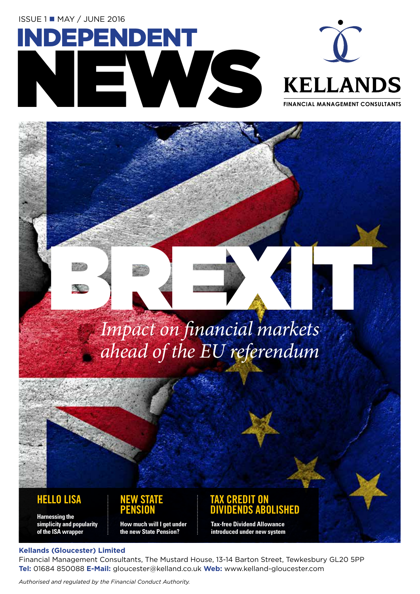**ISSUE 1■ MAY / JUNE 2016** 





**FINANCIAL MANAGEMENT CONSULTANTS**

# BREXIS (MARCIA) *Impact on financial markets ahead of the EU referendum*

#### **HELLO LISA NEW STATE**

**Harnessing the simplicity and popularity of the ISA wrapper**



#### **TAX CREDIT ON DIVIDENDS ABOLISHED**

**Tax-free Dividend Allowance introduced under new system**

#### **Kellands (Gloucester) Limited**

Financial Management Consultants, The Mustard House, 13-14 Barton Street, Tewkesbury GL20 5PP **Tel:** 01684 850088 **E-Mail:** gloucester@kelland.co.uk **Web:** www.kelland-gloucester.com

*Authorised and regulated by the Financial Conduct Authority.*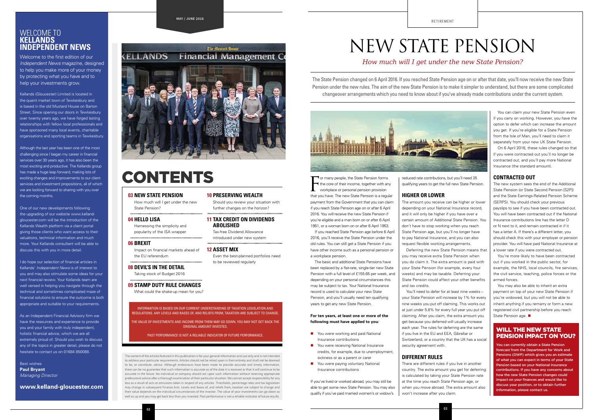RETIREMENT

# NEW STATE PENSION

#### *How much will I get under the new State Pension?*

That you many people, the State Pension forms<br>the core of their income, together with any<br>workplace or personal pension provision<br>that you have. The new State Pension is a regular **T** or many people, the State Pension forms  $\blacktriangleleft$  the core of their income, together with any workplace or personal pension provision payment from the Government that you can claim if you reach State Pension age on or after 6 April 2016. You will receive the new State Pension if you're eligible and a man born on or after 6 April 1951, or a woman born on or after 6 April 1953.

If you reached State Pension age before 6 April 2016, you'll receive the State Pension under the old rules. You can still get a State Pension if you have other income such as a personal pension or a workplace pension.

- **n** You were working and paid National Insurance contributions
- You were receiving National Insurance credits, for example, due to unemployment, sickness or as a parent or carer
- You were paying voluntary National Insurance contributions

The basic and additional State Pensions have been replaced by a flat-rate, single-tier new State Pension with a full level of £155.65 per week, and depending on your personal circumstances this may be subject to tax. Your National Insurance record is used to calculate your new State Pension, and you'll usually need ten qualifying years to get any new State Pension.

#### **For ten years, at least one or more of the following must have applied to you:**

If you've lived or worked abroad, you may still be able to get some new State Pension. You may also qualify if you've paid married women's or widow's

You can claim your new State Pension even if you carry on working. However, you have the option to defer which can increase the amount you get. If you're eligible for a State Pension from the Isle of Man, you'll need to claim it separately from your new UK State Pension.

reduced rate contributions, but you'll need 35 qualifying years to get the full new State Pension.

#### **HIGHER OR LOWER**

The amount you receive can be higher or lower depending on your National Insurance record, and it will only be higher if you have over a certain amount of Additional State Pension. You don't have to stop working when you reach State Pension age, but you'll no longer have to pay National Insurance, and you can also request flexible working arrangements. Deferring the new State Pension means that you may receive extra State Pension when you do claim it. The extra amount is paid with your State Pension (for example, every four weeks) and may be taxable. Deferring your State Pension could affect your other benefits

You may also be able to inherit an extra payment on top of your new State Pension if you're widowed, but you will not be able to inherit anything if you remarry or form a new registered civil partnership before you reach State Pension age.

and tax credits.

You'll need to defer for at least nine weeks – your State Pension will increase by 1% for every nine weeks you put off claiming. This works out at just under 5.8% for every full year you put off claiming. After you claim, the extra amount you get because you deferred will usually increase each year. The rules for deferring are the same if you live in the EU and EEA, Gibraltar or Switzerland, or a country that the UK has a social security agreement with.

#### **DIFFERENT RULES**

There are different rules if you live in another country. The extra amount you get for deferring is calculated by taking your State Pension rate at the time you reach State Pension age, or when you move abroad. The extra amount also won't increase after you claim.

On 6 April 2016, these rules changed so that if you were contracted out you'll no longer be contracted out, and you'll pay more National Insurance (the standard amount).

#### **CONTRACTED OUT**

The new system sees the end of the Additional State Pension (or State Second Pension [S2P]) and the State Earnings-Related Pension Scheme (SERPS). You should check your previous payslips to see if you have been contracted out. You will have been contracted out if the National Insurance contributions line has the letter D or N next to it, and remain contracted in if it has a letter A. If there's a different letter, you should check this with your employer or pension provider. You will have paid National Insurance at a lower rate if you were contracted out.

You're more likely to have been contracted out if you worked in the public sector, for example, the NHS, local councils, fire services the civil service, teaching, police forces or the armed forces.

#### WILL THE NEW STATE PENSION IMPACT ON YOU?

You can currently obtain a State Pension forecast from the Department for Work and Pensions (DWP) which gives you an estimate of what you can expect in terms of your State Pension based on your National Insurance contributions. If you have any concerns about how the new State Pension changes could impact on your finances and would like to discuss your position, or to obtain further information, please contact us.

The State Pension changed on 6 April 2016. If you reached State Pension age on or after that date, you'll now receive the new State Pension under the new rules. The aim of the new State Pension is to make it simpler to understand, but there are some complicated changeover arrangements which you need to know about if you've already made contributions under the current system.



The content of the articles featured in this publication is for your general information and use only and is not intended to address your particular requirements. Articles should not be relied upon in their entirety and shall not be deemed to be, or constitute, advice. Although endeavours have been made to provide accurate and timely information, there can be no guarantee that such information is accurate as of the date it is received or that it will continue to be accurate in the future. No individual or company should act upon such information without receiving appropriate professional advice after a thorough examination of their particular situation. We cannot accept responsibility for any loss as a result of acts or omissions taken in respect of any articles. Thresholds, percentage rates and tax legislation may change in subsequent Finance Acts. Levels and bases of, and reliefs from, taxation are subject to change and their value depends on the individual circumstances of the investor. The value of your investments can go down as well as up and you may get back less than you invested. Past performance is not a reliable indicator of future results.

#### WELCOME TO **KELLANDS INDEPENDENT NEWS**

#### **03 NEW STATE PENSION**

How much will I get under the new State Pension?

#### **04 HELLO LISA**

Harnessing the simplicity and

popularity of the ISA wrapper

**06 BREXIT**  Impact on financial markets ahead of the EU referendum

#### **08 DEVIL'S IN THE DETAIL**

Taking stock of Budget 2016

#### **09 STAMP DUTY RULE CHANGES**

What could the shake-up mean for you?

**10 PRESERVING WEALTH** 

Should you review your situation with further changes on the horizon?

**11 TAX CREDIT ON DIVIDENDS ABOLISHED** Tax-free Dividend Allowance introduced under new system

#### **12 ASSET MIX**

Even the best-planned portfolios need

to be reviewed regularly

Welcome to the first edition of our *Independent News* magazine, designed to help you make more of your money by protecting what you have and to help your investments grow.

Kellands (Gloucester) Limited is located in the quaint market town of Tewkesbury and is based in the old Mustard House on Barton Street. Since opening our doors in Tewkesbury over twenty years ago, we have forged lasting relationships with fellow local professionals and have sponsored many local events, charitable organisations and sporting teams in Tewkesbury.

Although the last year has been one of the most challenging since I began my career in financial services over 30 years ago, it has also been the most exciting and productive. The Kellands group has made a huge leap forward, making lots of exciting changes and improvements to our client services and investment propositions, all of which we are looking forward to sharing with you over the coming months.

One of our new developments following the upgrading of our website www.kellandgloucester.com will be the introduction of the Kellands Wealth platform via a client portal giving those clients who want access to their valuations, technical information and much more. Your Kellands consultant will be able to discuss this with you in more detail.

I do hope our selection of financial articles in Kellands' *Independent News* is of interest to you and may also stimulate some ideas for your next financial review. Your Kellands team are well versed in helping you navigate through the technical and sometimes complicated maze of financial solutions to ensure the outcome is both appropriate and suitable to your requirements.

As an Independent Financial Advisory firm we have the resources and experience to provide you and your family with truly independent, holistic financial advice, which we are all extremely proud of. Should you wish to discuss any of the topics in greater detail, please do not hesitate to contact us on 01684 850088.

Best wishes **Paul Bryant** *Managing Director* 

**www.kelland-gloucester.com** 

**02**

## CONTENTS

#### **MAY / JUNE 2016**

#### The flustard Douse **KELLANDS Financial Management Compared Compared Compared Compared Compared Compared Compared Compared Compared Compared Compared Compared Compared Compared Compared Compared Compared Compared Compared Compared Compared Compared Co**



INFORMATION IS BASED ON OUR CURRENT UNDERSTANDING OF TAXATION LEGISLATION AND REGULATIONS. ANY LEVELS AND BASES OF, AND RELIEFS FROM, TAXATION ARE SUBJECT TO CHANGE.

THE VALUE OF INVESTMENTS AND INCOME FROM THEM MAY GO DOWN. YOU MAY NOT GET BACK THE ORIGINAL AMOUNT INVESTED.

PAST PERFORMANCE IS NOT A RELIABLE INDICATOR OF FUTURE PERFORMANCE.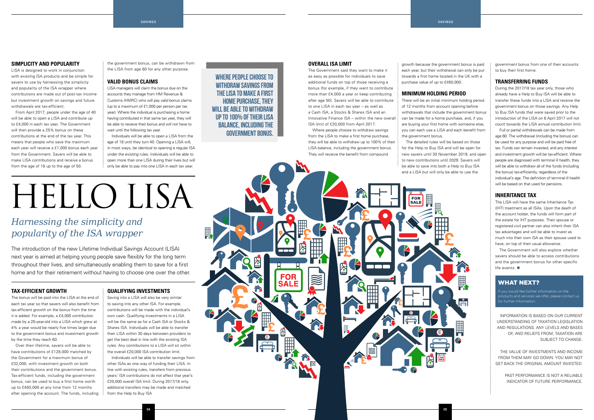



#### **SIMPLICITY AND POPULARITY**

LISA is designed to work in conjunction with existing ISA products and be simple for savers to use by harnessing the simplicity and popularity of the ISA wrapper where contributions are made out of post-tax income but investment growth on savings and future withdrawals are tax-efficient.

From April 2017, people under the age of 40 will be able to open a LISA and contribute up to £4,000 in each tax year. The Government will then provide a 25% bonus on these contributions at the end of the tax year. This means that people who save the maximum each year will receive a £1,000 bonus each year from the Government. Savers will be able to make LISA contributions and receive a bonus from the age of 18 up to the age of 50.

#### **TAX-EFFICIENT GROWTH**

The bonus will be paid into the LISA at the end of each tax year so that savers will also benefit from tax-efficient growth on the bonus from the time it is added. For example, a £4,000 contribution made by a 25-year-old into a LISA which grew at 4% a year would be nearly five times larger due to the government bonus and investment growth by the time they reach 60.

Over their lifetime, savers will be able to have contributions of £128,000 matched by the Government for a maximum bonus of £32,000, with investment growth on both their contributions and the government bonus. Tax-efficient funds, including the government bonus, can be used to buy a first home worth up to £450,000 at any time from 12 months after opening the account. The funds, including the government bonus, can be withdrawn from the LISA from age 60 for any other purpose.

#### **VALID BONUS CLAIMS**

LISA managers will claim the bonus due on the accounts they manage from HM Revenue & Customs (HMRC) who will pay valid bonus claims (up to a maximum of £1,000 per person per tax year). Where the individual is purchasing a home having contributed in that same tax year, they will be able to receive their bonus and will not have to wait until the following tax year.

Individuals will be able to open a LISA from the age of 18 until they turn 40. Opening a LISA will, in most ways, be identical to opening a regular ISA under the existing rules. Individuals will be able to open more than one LISA during their lives but will only be able to pay into one LISA in each tax year.

#### **QUALIFYING INVESTMENTS**

Saving into a LISA will also be very similar to saving into any other ISA. For example, contributions will be made with the individual's own cash. Qualifying investments in a LISA will be the same as for a Cash ISA or Stocks & Shares ISA. Individuals will be able to transfer their LISA within 30 days between providers to get the best deal in line with the existing ISA rules. Any contributions to a LISA will sit within the overall £20,000 ISA contribution limit.

The Government will also explore whether savers should be able to access contributions and the government bonus for other specific life events.  $\blacksquare$ 

Individuals will be able to transfer savings from other ISAs as one way of funding their LISA. In line with existing rules, transfers from previous years' ISA contributions do not affect that year's £20,000 overall ISA limit. During 2017/18 only, additional transfers may be made and matched from the Help to Buy ISA

#### **OVERALL ISA LIMIT**

If you would like further information on the products and services we offer, please contact us for further information.

The Government said they want to make it as easy as possible for individuals to save additional funds on top of those receiving a bonus (for example, if they want to contribute more than £4,000 a year or keep contributing after age 50). Savers will be able to contribute to one LISA in each tax year – as well as a Cash ISA, a Stocks & Shares ISA and an Innovative Finance ISA – within the new overall ISA limit of £20,000 from April 2017.

Where people choose to withdraw savings from the LISA to make a first home purchase, they will be able to withdraw up to 100% of their LISA balance, including the government bonus. They will receive the benefit from compound

growth because the government bonus is paid each year, but their withdrawal can only be put towards a first home located in the UK with a purchase value of up to £450,000.

#### **MINIMUM HOLDING PERIOD**

There will be an initial minimum holding period of 12 months from account opening before withdrawals that include the government bonus can be made for a home purchase, and, if you are buying your first home with someone else, you can each use a LISA and each benefit from the government bonus.

The detailed rules will be based on those for the Help to Buy ISA and will be open for new savers until 30 November 2019, and open to new contributions until 2029. Savers will be able to save into both a Help to Buy ISA and a LISA but will only be able to use the

government bonus from one of their accounts to buy their first home.

#### **TRANSFERRING FUNDS**

During the 2017/18 tax year only, those who already have a Help to Buy ISA will be able to transfer these funds into a LISA and receive the government bonus on those savings. Any Help to Buy ISA funds that were saved prior to the introduction of the LISA on 6 April 2017 will not count towards the LISA annual contribution limit.

Full or partial withdrawals can be made from age 60. The withdrawal (including the bonus) can be used for any purpose and will be paid free of tax. Funds can remain invested, and any interest and investment growth will be tax-efficient. Where people are diagnosed with terminal ill health, they will be able to withdraw all of the funds (including the bonus) tax-efficiently, regardless of the individual's age. The definition of terminal ill health will be based on that used for pensions.

#### **INHERITANCE TAX**

The LISA will have the same Inheritance Tax (IHT) treatment as all ISAs. Upon the death of the account holder, the funds will form part of the estate for IHT purposes. Their spouse or registered civil partner can also inherit their ISA tax advantages and will be able to invest as much into their own ISA as their spouse used to have, on top of their usual allowance.

INFORMATION IS BASED ON OUR CURRENT UNDERSTANDING OF TAXATION LEGISLATION AND REGULATIONS. ANY LEVELS AND BASES OF, AND RELIEFS FROM, TAXATION ARE SUBJECT TO CHANGE.

THE VALUE OF INVESTMENTS AND INCOME FROM THEM MAY GO DOWN. YOU MAY NOT GET BACK THE ORIGINAL AMOUNT INVESTED.

> PAST PERFORMANCE IS NOT A RELIABLE INDICATOR OF FUTURE PERFORMANCE.

#### WHAT NEXT?

The introduction of the new Lifetime Individual Savings Account (LISA) next year is aimed at helping young people save flexibly for the long term throughout their lives, and simultaneously enabling them to save for a first home and for their retirement without having to choose one over the other.

#### *Harnessing the simplicity and popularity of the ISA wrapper*

# Hello LISA

WHERE PEOPLE CHOOSE TO WITHDRAW SAVINGS FROM THE LISA TO MAKE A FIRST HOME PURCHASE, THEY WILL BE ABLE TO WITHDRAW UP TO 100% OF THEIR LISA BALANCE, INCLUDING THE GOVERNMENT BONUS.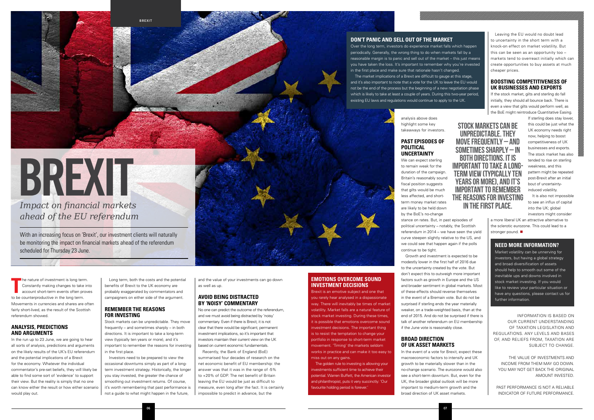**06**

**BREXIT**

The nature of investment is long term.<br>
Constantly making changes to take<br>
account short-term events often pro<br>
to be counterproductive in the long term. he nature of investment is long term. Constantly making changes to take into account short-term events often proves Movements in currencies and shares are often fairly short-lived, as the result of the Scottish referendum showed.

#### **ANALYSIS, PREDICTIONS AND ARGUMENTS**

In the run up to 23 June, we are going to hear all sorts of analysis, predictions and arguments on the likely results of the UK's EU referendum and the potential implications of a Brexit for the economy. Whatever the individual commentator's pre-set beliefs, they will likely be able to find some sort of 'evidence' to support their view. But the reality is simply that no one can know either the result or how either scenario would play out.

Long term, both the costs and the potential benefits of Brexit to the UK economy are probably exaggerated by commentators and campaigners on either side of the argument.

#### **REMEMBER THE REASONS FOR INVESTING**

Stock markets can be unpredictable. They move frequently – and sometimes sharply – in both directions. It is important to take a long-term view (typically ten years or more), and it's important to remember the reasons for investing in the first place.

Investors need to be prepared to view the occasional downturns simply as part of a longterm investment strategy. Historically, the longer you stay invested, the greater the chance of smoothing out investment returns. Of course, it's worth remembering that past performance is not a guide to what might happen in the future,

and the value of your investments can go down as well as up.

#### **AVOID BEING DISTRACTED BY 'NOISY' COMMENTARY**

No one can predict the outcome of the referendum, and we must avoid being distracted by 'noisy' commentary. Even if there is Brexit, it is not clear that there would be significant, permanent investment implications, so it's important that investors maintain their current view on the UK based on current economic fundamentals.

Recently, the Bank of England (BoE) summarised four decades of research on the net economic benefit of EU membership: the answer was that it was in the range of -5% to +20% of GDP. The net benefit of Britain leaving the EU would be just as difficult to measure, even long after the fact. It is certainly impossible to predict in advance, but the

*Impact on financial markets ahead of the EU referendum*

# **BREXIT**

With an increasing focus on 'Brexit', our investment clients will naturally be monitoring the impact on financial markets ahead of the referendum scheduled for Thursday 23 June.

a more liberal UK an attractive alternative to the sclerotic eurozone. This could lead to a stronger pound.

analysis above does highlight some key takeaways for investors.

#### **PAST EPISODES OF POLITICAL UNCERTAINTY**

We can expect sterling to remain weak for the duration of the campaign. Britain's reasonably sound fiscal position suggests that gilts would be much less affected, and shortterm money market rates are likely to be held down by the BoE's no-change stance on rates. But, in past episodes of political uncertainty – notably, the Scottish referendum in 2014 – we have seen the yield curve steepen slightly relative to the US, and we could see that happen again if the polls continue to be tight.

Growth and investment is expected to be modestly lower in the first half of 2016 due to the uncertainty created by the vote. But don't expect this to outweigh more important factors such as growth in Europe and the US and broader sentiment in global markets. Most of these effects should reverse themselves in the event of a Bremain vote. But do not be surprised if sterling ends the year materially weaker, on a trade-weighted basis, than at the end of 2015. And do not be surprised if there is talk of another referendum on EU membership if the June vote is reasonably close.

STOCK MARKETS CAN BE UNPREDICTABLE. THEY MOVE FREQUENTLY – AND SOMETIMES SHARPLY – IN BOTH DIRECTIONS. IT IS IMPORTANT TO TAKE A LONG-TERM VIEW (TYPICALLY TEN YEARS OR MORE), AND IT'S IMPORTANT TO REMEMBER THE REASONS FOR INVESTING IN THE FIRST PLACE.

#### **BROAD DIRECTION OF UK ASSET MARKETS**

In the event of a vote for Brexit, expect these macroeconomic factors to intensify and UK growth to be materially slower than in the no-change scenario. The eurozone would also see a short-term downturn. But, even for the UK, the broader global outlook will be more important to medium-term growth and the broad direction of UK asset markets.

Leaving the EU would no doubt lead to uncertainty in the short term with a knock-on effect on market volatility. But this can be seen as an opportunity too – markets tend to overreact initially which can create opportunities to buy assets at much cheaper prices.

#### **BOOSTING COMPETITIVENESS OF UK BUSINESSES AND EXPORTS**

If the stock market, gilts and sterling do fall initially, they should all bounce back. There is even a view that gilts would perform well, as the BoE might reintroduce Quantitative Easing.

> If sterling does stay lower, this could be just what the UK economy needs right now, helping to boost competitiveness of UK businesses and exports. The stock market has also tended to rise on sterling weakness, and this pattern might be repeated post-Brexit after an initial bout of uncertaintyinduced volatility.

It is also not impossible to see an influx of capital into the UK; global investors might consider

INFORMATION IS BASED ON OUR CURRENT UNDERSTANDING OF TAXATION LEGISLATION AND REGULATIONS. ANY LEVELS AND BASES OF, AND RELIEFS FROM, TAXATION ARE SUBJECT TO CHANGE.

THE VALUE OF INVESTMENTS AND INCOME FROM THEM MAY GO DOWN. YOU MAY NOT GET BACK THE ORIGINAL AMOUNT INVESTED.

PAST PERFORMANCE IS NOT A RELIABLE INDICATOR OF FUTURE PERFORMANCE.

#### **NEED MORE INFORMATION?**

Market volatility can be unnerving for investors, but having a global strategy and broad diversification of assets should help to smooth out some of the inevitable ups and downs involved in stock market investing. If you would like to review your particular situation or have any questions, please contact us for further information.

#### **DON'T PANIC AND SELL OUT OF THE MARKET**

Over the long term, investors do experience market falls which happen periodically. Generally, the wrong thing to do when markets fall by a reasonable margin is to panic and sell out of the market – this just means you have taken the loss. It's important to remember why you're invested in the first place and make sure that rationale hasn't changed. The market implications of a Brexit are difficult to gauge at this stage, and it's also important to note that a vote for the UK to leave the EU would not be the end of the process but the beginning of a new negotiation phase which is likely to take at least a couple of years. During this two-year period, existing EU laws and regulations would continue to apply to the UK.

#### **EMOTIONS OVERCOME SOUND INVESTMENT DECISIONS**

Brexit is an emotive subject and one that you rarely hear analysed in a dispassionate way. There will inevitably be times of market volatility. Market falls are a natural feature of stock market investing. During these times, it is possible that emotions overcome sound investment decisions. The important thing is to resist the temptation to change your portfolio in response to short-term market movement. 'Timing' the markets seldom works in practice and can make it too easy to miss out on any gains.

The golden rule to investing is allowing your nvestments sufficient time to achieve their potential. Warren Buffett, the American investor and philanthropist, puts it very succinctly: 'Our favourite holding period is forever.'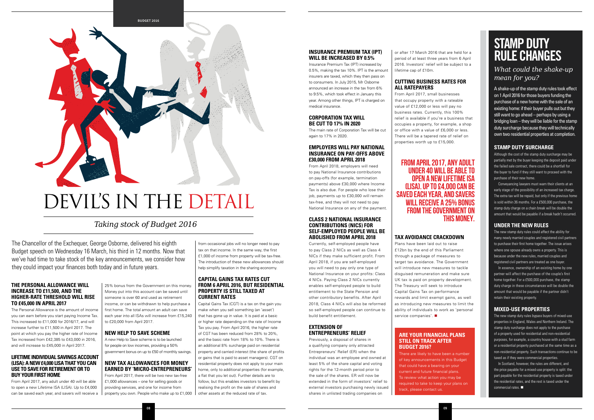**08**



- 
- 

#### **STAMP DUTY SURCHARGE**

Although the cost of the stamp duty surcharge may be partially met by the buyer keeping the deposit paid under the failed sale contract, there could be a shortfall for the buyer to fund if they still want to proceed with the purchase of their new home.

Conveyancing lawyers must warn their clients at an early stage of the possibility of an increased tax charge. The extra tax will be repaid, but only if the previous home is sold within 36 months. For a £500,000 purchase, the stamp duty charge on a chain break will be double the amount that would be payable if a break hadn't occurred.

#### **UNDER THE NEW RULES**

The new stamp duty rules could affect the ability for many newly married couples and registered civil partners to purchase their first home together. The issue arises where one spouse already owns a property. This is because under the new rules, married couples and registered civil partners are treated as one buyer.

In Scotland, however, the rules are different, and the price payable for a mixed-use property is split: the part payable for the residential property is taxed under the residential rates, and the rest is taxed under the commercial rates.  $\blacksquare$ 

In essence, ownership of an existing home by one partner will affect the purchase of the couple's first home together. For a £500,000 purchase, the stamp duty charge in these circumstances will be double the amount that would be payable if the partner didn't retain their existing property.

#### **MIXED-USE PROPERTIES**

The new stamp duty rules bypass buyers of mixed-use properties in England, Wales and Northern Ireland. The stamp duty surcharge does not apply to the purchase of a property used for residential and non-residential purposes, for example, a country house with a stud farm or a residential property purchased at the same time as a non-residential property. Such transactions continue to be taxed as if they were commercial properties.

### **STAMP DUTY RULE CHANGES**

#### *What could the shake-up mean for you?*

from occasional jobs will no longer need to pay tax on that income. In the same way, the first £1,000 of income from property will be tax-free. The introduction of these new allowances should help simplify taxation in the sharing economy.

A shake-up of the stamp duty rules took effect on 1 April 2016 for those buyers funding the purchase of a new home with the sale of an existing home: if their buyer pulls out but they still want to go ahead – perhaps by using a bridging loan – they will be liable for the stamp duty surcharge because they will technically own two residential properties at completion.

#### **THE PERSONAL ALLOWANCE WILL INCREASE TO £11,500, AND THE HIGHER-RATE THRESHOLD WILL RISE TO £45,000 IN APRIL 2017**

The Personal Allowance is the amount of income you can earn before you start paying Income Tax. This increased to £11,000 for 2016/17, and will increase further to £11,500 in April 2017. The point at which you pay the higher rate of Income Tax increased from £42,385 to £43,000 in 2016, and will increase to £45,000 in April 2017.

#### **LIFETIME INDIVIDUAL SAVINGS ACCOUNT (LISA): A NEW £4,000 LISA THAT YOU CAN USE TO SAVE FOR RETIREMENT OR TO BUY YOUR FIRST HOME**

From April 2017, any adult under 40 will be able to open a new Lifetime ISA (LISA). Up to £4,000 can be saved each year, and savers will receive a 25% bonus from the Government on this money. Money put into this account can be saved until someone is over 60 and used as retirement income, or can be withdrawn to help purchase a first home. The total amount an adult can save each year into all ISAs will increase from £15,240 to £20,000 from April 2017.

#### **NEW HELP TO SAVE SCHEME**

A new Help to Save scheme is to be launched for people on low incomes, providing a 50% government bonus on up to £50 of monthly savings.

#### **NEW TAX ALLOWANCES FOR MONEY EARNED BY 'MICRO-ENTREPRENEURS'**

From April 2017, there will be two new tax-free £1,000 allowances – one for selling goods or providing services, and one for income from property you own. People who make up to £1,000

Plans have been laid out to raise £12bn by the end of this Parliament through a package of measures to target tax avoidance. The Government will introduce new measures to tackle disguised remuneration and make sure UK tax is paid on property development. The Treasury will seek to introduce Capital Gains Tax on performance rewards and limit exempt gains, as well as introducing new measures to limit the ability of individuals to work as 'personal service companies'.  $\blacksquare$ 

#### **CAPITAL GAINS TAX RATES CUT FROM 6 APRIL 2016, BUT RESIDENTIAL PROPERTY IS STILL TAXED AT CURRENT RATES**

There are likely to have been a number of key announcements in this Budget that could have a bearing on your current and future financial plans. To review what action you may be required to take to keep your plans on track, please contact us.

#### FROM APRIL 2017, ANY ADULT UNDER 40 WILL BE ABLE TO OPEN A NEW LIFETIME ISA (LISA). UP TO £4,000 CAN BE SAVED EACH YEAR, AND SAVERS WILL RECEIVE A 25% BONUS FROM THE GOVERNMENT ON **THIS MONEY**

Capital Gains Tax (CGT) is a tax on the gain you make when you sell something (an 'asset') that has gone up in value. It is paid at a basic or higher rate depending on the rate of Income Tax you pay. From April 2016, the higher rate of CGT has been reduced from 28% to 20%, and the basic rate from 18% to 10%. There is an additional 8% surcharge paid on residential property and carried interest (the share of profits or gains that is paid to asset managers). CGT on residential property does not apply to your main home, only to additional properties (for example, a flat that you let out). Further details are to follow, but this enables investors to benefit by realising the profit on the sale of shares and other assets at the reduced rate of tax.

#### *Taking stock of Budget 2016*

The Chancellor of the Exchequer, George Osborne, delivered his eighth Budget speech on Wednesday 16 March, his third in 12 months. Now that we've had time to take stock of the key announcements, we consider how they could impact your finances both today and in future years.

#### **INSURANCE PREMIUM TAX (IPT) WILL BE INCREASED BY 0.5%**

Insurance Premium Tax (IPT) increased by 0.5%, making the tax 10%. IPT is the amount insurers are taxed, which they then pass on to consumers. In July 2015, Mr Osborne announced an increase in the tax from 6% to 9.5%, which took effect in January this year. Among other things, IPT is charged on medical insurance.

#### **CORPORATION TAX WILL BE CUT TO 17% IN 2020**

The main rate of Corporation Tax will be cut again to 17% in 2020.

#### **EMPLOYERS WILL PAY NATIONAL INSURANCE ON PAY-OFFS ABOVE £30,000 FROM APRIL 2018**

From April 2018, employers will need to pay National Insurance contributions on pay-offs (for example, termination payments) above £30,000 where Income Tax is also due. For people who lose their job, payments up to £30,000 will remain tax-free, and they will not need to pay National Insurance on any of the payment.

#### **CLASS 2 NATIONAL INSURANCE CONTRIBUTIONS (NICS) FOR SELF-EMPLOYED PEOPLE WILL BE ABOLISHED FROM APRIL 2018**

Currently, self-employed people have to pay Class 2 NICs as well as Class 4 NICs if they make sufficient profit. From April 2018, if you are self-employed you will need to pay only one type of National Insurance on your profits: Class 4 NICs. Paying Class 2 NICs currently enables self-employed people to build entitlement to the State Pension and other contributory benefits. After April 2018, Class 4 NICs will also be reformed so self-employed people can continue to build benefit entitlement.

#### **EXTENSION OF ENTREPRENEURS' RELIEF**

Previously, a disposal of shares in a qualifying company only attracted Entrepreneurs' Relief (ER) when the individual was an employee and owned at least 5% of the share capital and voting rights for the 12-month period prior to the sale of the shares. ER will now be extended in the form of investors' relief to external investors purchasing newly issued shares in unlisted trading companies on

or after 17 March 2016 that are held for a period of at least three years from 6 April 2016. Investors' relief will be subject to a lifetime cap of £10m.

#### **CUTTING BUSINESS RATES FOR ALL RATEPAYERS**

From April 2017, small businesses that occupy property with a rateable value of £12,000 or less will pay no business rates. Currently, this 100% relief is available if you're a business that occupies a property, for example, a shop or office with a value of £6,000 or less. There will be a tapered rate of relief on properties worth up to £15,000.

#### **TAX AVOIDANCE CRACKDOWN**

# DEVIL'S IN THE DETAIL

#### **ARE YOUR FINANCIAL PLANS STILL ON TRACK AFTER BUDGET 2016?**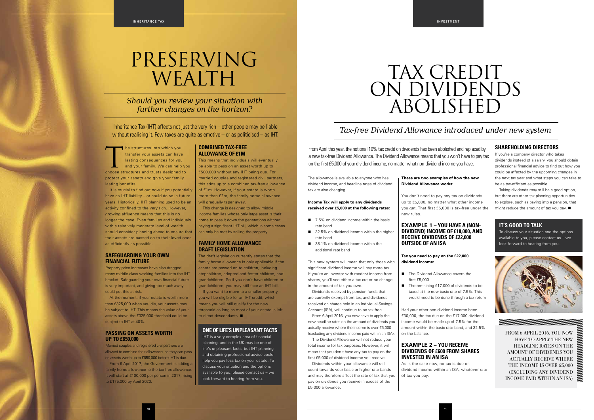The structures into which you<br>
transfer your assets can have<br>
lasting consequences for you<br>
and your family. We can help yo<br>
choose structures and trusts designed to transfer your assets can have lasting consequences for you and your family. We can help you protect your assets and give your family lasting benefits.

It is crucial to find out now if you potentially have an IHT liability – or could do so in future years. Historically, IHT planning used to be an activity confined to the very rich. However, growing affluence means that this is no longer the case. Even families and individuals with a relatively moderate level of wealth should consider planning ahead to ensure that their assets are passed on to their loved ones as efficiently as possible.

At the moment, if your estate is worth more than £325,000 when you die, your assets may be subject to IHT. This means the value of your assets above the £325,000 threshold could be subject to IHT at 40%.

#### **SAFEGUARDING YOUR OWN FINANCIAL FUTURE**

Property price increases have also dragged many middle-class working families into the IHT bracket. Safeguarding your own financial future is very important, and giving too much away could put this at risk.

#### **PASSING ON ASSETS WORTH UP TO £650,000**

The draft legislation currently states that the family home allowance is only applicable if the assets are passed on to children, including stepchildren, adopted and foster children, and grandchildren. So if you don't have children or grandchildren, you may still face an IHT bill.

If you want to move to a smaller property, you will be eligible for an IHT credit, which means you will still qualify for the new threshold as long as most of your estate is left to direct descendants.  $\blacksquare$ 

Married couples and registered civil partners are allowed to combine their allowance, so they can pass on assets worth up to £650,000 before IHT is due.

From 6 April 2017, the Government is adding a family home allowance to the tax-free allowance. It will start at £100,000 per person in 2017, rising to £175,000 by April 2020.

#### **COMBINED TAX-FREE ALLOWANCE OF £1M**

This means that individuals will eventually be able to pass on an asset worth up to £500,000 without any IHT being due. For married couples and registered civil partners, this adds up to a combined tax-free allowance of £1m. However, if your estate is worth more than £2m, the family home allowance will gradually taper away.

- $\blacksquare$  7.5% on dividend income within the basic rate band
- 32.5% on dividend income within the higher rate band
- 38.1% on dividend income within the additional rate band

Dividends received by pension funds that are currently exempt from tax, and dividends received on shares held in an Individual Savings Account (ISA), will continue to be tax-free.

This change is designed to allow middle income families whose only large asset is their home to pass it down the generations without paying a significant IHT bill, which in some cases can only be met by selling the property.

#### **FAMILY HOME ALLOWANCE DRAFT LEGISLATION**

- The Dividend Allowance covers the first £5,000
	- taxed at the new basic rate of 7.5%. This would need to be done through a tax return

**10 11**

*Should you review your situation with further changes on the horizon?*

Inheritance Tax (IHT) affects not just the very rich – other people may be liable without realising it. Few taxes are quite as emotive – or as politicised – as IHT.

# PRESERVING WEALTH

Taking dividends may still be a good option, but there are other tax planning opportunities to explore, such as paying into a pension, that might reduce the amount of tax you pay.  $\blacksquare$ 

#### **ONE OF LIFE'S UNPLEASANT FACTS**

IHT is a very complex area of financial planning, and in the UK may be one of life's unpleasant facts, but IHT planning and obtaining professional advice could help you pay less tax on your estate. To discuss your situation and the options available to you, please contact us – we look forward to hearing from you.

The allowance is available to anyone who has dividend income, and headline rates of dividend tax are also changing.

#### **Income Tax will apply to any dividends received over £5,000 at the following rates:**

This new system will mean that only those with significant dividend income will pay more tax. If you're an investor with modest income from shares, you'll see either a tax cut or no change in the amount of tax you owe.

From 6 April 2016, you now have to apply the new headline rates on the amount of dividends you actually receive where the income is over £5,000 (excluding any dividend income paid within an ISA).

The Dividend Allowance will not reduce your total income for tax purposes. However, it will mean that you don't have any tax to pay on the first £5,000 of dividend income you receive.

Dividends within your allowance will still count towards your basic or higher rate bands and may therefore affect the rate of tax that you pay on dividends you receive in excess of the £5,000 allowance.

#### **These are two examples of how the new Dividend Allowance works:**

You don't need to pay any tax on dividends up to £5,000, no matter what other income you get. That first £5,000 is tax-free under the new rules.

#### **EXAMPLE 1 – YOU HAVE A (NON-DIVIDEND) INCOME OF £18,000, AND RECEIVE DIVIDENDS OF £22,000 OUTSIDE OF AN ISA**

#### **Tax you need to pay on the £22,000 dividend income:**

Had your other non-dividend income been £30,000, the tax due on the £17,000 dividend income would be made up of 7.5% for the amount within the basic rate band, and 32.5% on the balance.

#### **EXAMPLE 2 – YOU RECEIVE DIVIDENDS OF £600 FROM SHARES INVESTED IN AN ISA**

As is the case now, no tax is due on dividend income within an ISA, whatever rate of tax you pay.

■ The remaining £17,000 of dividends to be

#### **SHAREHOLDING DIRECTORS**

If you're a company director who takes dividends instead of a salary, you should obtain professional financial advice to find out how you could be affected by the upcoming changes in the next tax year and what steps you can take to be as tax-efficient as possible.

#### *Tax-free Dividend Allowance introduced under new system*

From April this year, the notional 10% tax credit on dividends has been abolished and replaced by a new tax-free Dividend Allowance. The Dividend Allowance means that you won't have to pay tax on the first £5,000 of your dividend income, no matter what non-dividend income you have.

## TAX CREDIT ON DIVIDENDS ABOLISHED

#### **IT'S GOOD TO TALK**

To discuss your situation and the options available to you, please contact us – we look forward to hearing from you.



FROM 6 APRIL 2016, YOU NOW HAVE TO APPLY THE NEW HEADLINE RATES ON THE AMOUNT OF DIVIDENDS YOU ACTUALLY RECEIVE WHERE THE INCOME IS OVER £5,000 (EXCLUDING ANY DIVIDEND INCOME PAID WITHIN AN ISA)